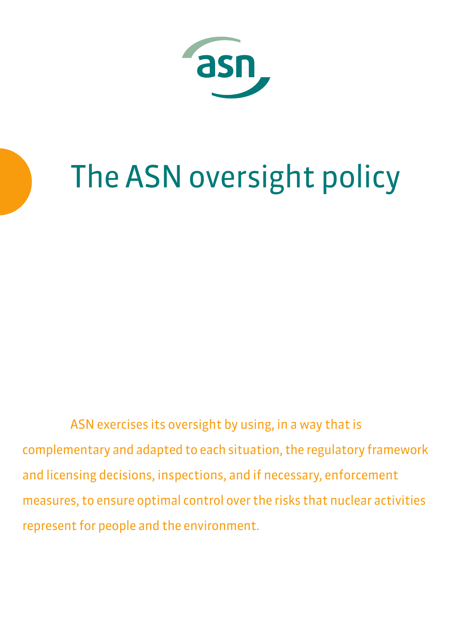

# The ASN oversight policy

ASN exercises its oversight by using, in a way that is complementary and adapted to each situation, the regulatory framework and licensing decisions, inspections, and if necessary, enforcement measures, to ensure optimal control over the risks that nuclear activities represent for people and the environment.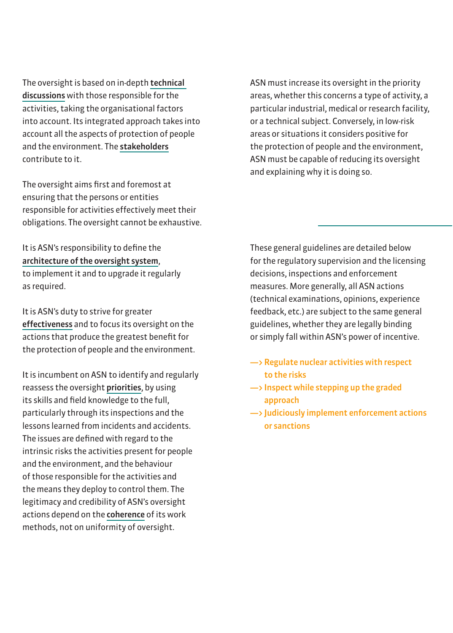The oversight is based on in-depth technical discussions with those responsible for the activities, taking the organisational factors into account. Its integrated approach takes into account all the aspects of protection of people and the environment. The stakeholders contribute to it.

The oversight aims first and foremost at ensuring that the persons or entities responsible for activities effectively meet their obligations. The oversight cannot be exhaustive.

#### It is ASN's responsibility to define the architecture of the oversight system,

to implement it and to upgrade it regularly as required.

It is ASN's duty to strive for greater effectiveness and to focus its oversight on the actions that produce the greatest benefit for the protection of people and the environment.

It is incumbent on ASN to identify and regularly reassess the oversight priorities, by using its skills and field knowledge to the full, particularly through its inspections and the lessons learned from incidents and accidents. The issues are defined with regard to the intrinsic risks the activities present for people and the environment, and the behaviour of those responsible for the activities and the means they deploy to control them. The legitimacy and credibility of ASN's oversight actions depend on the coherence of its work methods, not on uniformity of oversight.

ASN must increase its oversight in the priority areas, whether this concerns a type of activity, a particular industrial, medical or research facility, or a technical subject. Conversely, in low-risk areas or situations it considers positive for the protection of people and the environment, ASN must be capable of reducing its oversight and explaining why it is doing so.

These general guidelines are detailed below for the regulatory supervision and the licensing decisions, inspections and enforcement measures. More generally, all ASN actions (technical examinations, opinions, experience feedback, etc.) are subject to the same general guidelines, whether they are legally binding or simply fall within ASN's power of incentive.

- $\rightarrow$  Regulate nuclear activities with respect to the risks
- $\rightarrow$  Inspect while stepping up the graded approach
- —> Judiciously implement enforcement actions or sanctions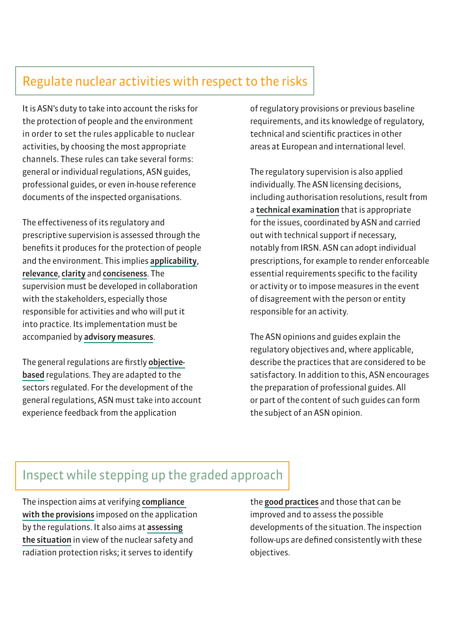## Regulate nuclear activities with respect to the risks

It is ASN's duty to take into account the risks for the protection of people and the environment in order to set the rules applicable to nuclear activities, by choosing the most appropriate channels. These rules can take several forms: general or individual regulations, ASN guides, professional guides, or even in-house reference documents of the inspected organisations.

The effectiveness of its regulatory and prescriptive supervision is assessed through the benefits it produces for the protection of people and the environment. This implies applicability, relevance, clarity and conciseness. The supervision must be developed in collaboration with the stakeholders, especially those responsible for activities and who will put it into practice. Its implementation must be accompanied by advisory measures.

The general regulations are firstly objectivebased regulations. They are adapted to the sectors regulated. For the development of the general regulations, ASN must take into account experience feedback from the application

of regulatory provisions or previous baseline requirements, and its knowledge of regulatory, technical and scientific practices in other areas at European and international level.

The regulatory supervision is also applied individually. The ASN licensing decisions, including authorisation resolutions, result from a technical examination that is appropriate for the issues, coordinated by ASN and carried out with technical support if necessary, notably from IRSN. ASN can adopt individual prescriptions, for example to render enforceable essential requirements specific to the facility or activity or to impose measures in the event of disagreement with the person or entity responsible for an activity.

The ASN opinions and guides explain the regulatory objectives and, where applicable, describe the practices that are considered to be satisfactory. In addition to this, ASN encourages the preparation of professional guides. All or part of the content of such guides can form the subject of an ASN opinion.

## Inspect while stepping up the graded approach

The inspection aims at verifying compliance with the provisions imposed on the application by the regulations. It also aims at assessing the situation in view of the nuclear safety and radiation protection risks; it serves to identify

the good practices and those that can be improved and to assess the possible developments of the situation. The inspection follow-ups are defined consistently with these objectives.